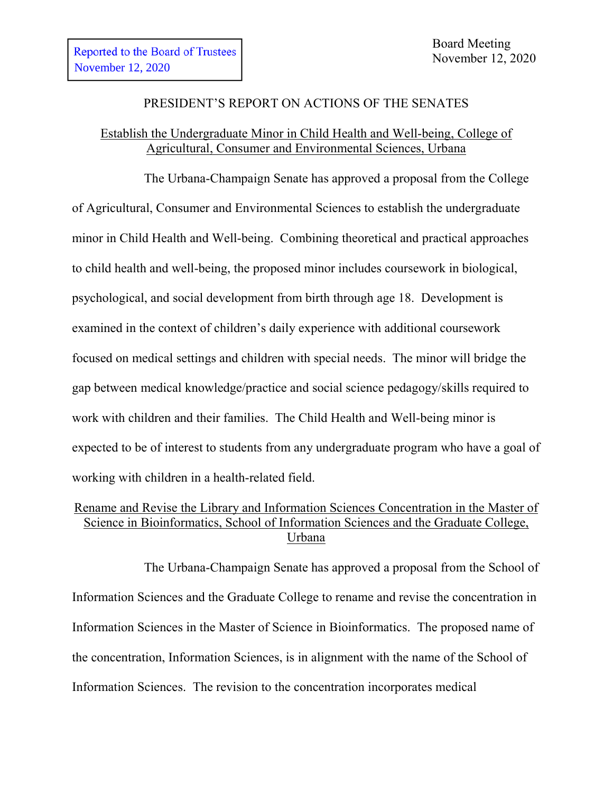#### PRESIDENT'S REPORT ON ACTIONS OF THE SENATES

## Establish the Undergraduate Minor in Child Health and Well-being, College of Agricultural, Consumer and Environmental Sciences, Urbana

The Urbana-Champaign Senate has approved a proposal from the College of Agricultural, Consumer and Environmental Sciences to establish the undergraduate minor in Child Health and Well-being. Combining theoretical and practical approaches to child health and well-being, the proposed minor includes coursework in biological, psychological, and social development from birth through age 18. Development is examined in the context of children's daily experience with additional coursework focused on medical settings and children with special needs. The minor will bridge the gap between medical knowledge/practice and social science pedagogy/skills required to work with children and their families. The Child Health and Well-being minor is expected to be of interest to students from any undergraduate program who have a goal of working with children in a health-related field.

# Rename and Revise the Library and Information Sciences Concentration in the Master of Science in Bioinformatics, School of Information Sciences and the Graduate College, Urbana

The Urbana-Champaign Senate has approved a proposal from the School of Information Sciences and the Graduate College to rename and revise the concentration in Information Sciences in the Master of Science in Bioinformatics. The proposed name of the concentration, Information Sciences, is in alignment with the name of the School of Information Sciences. The revision to the concentration incorporates medical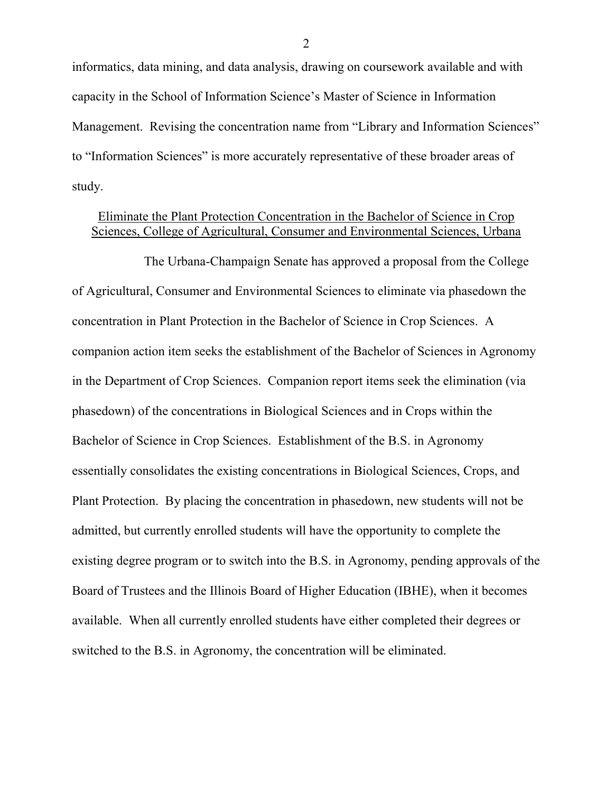informatics, data mining, and data analysis, drawing on coursework available and with capacity in the School of Information Science's Master of Science in Information Management. Revising the concentration name from "Library and Information Sciences" to "Information Sciences" is more accurately representative of these broader areas of study.

#### Eliminate the Plant Protection Concentration in the Bachelor of Science in Crop Sciences, College of Agricultural, Consumer and Environmental Sciences, Urbana

The Urbana-Champaign Senate has approved a proposal from the College of Agricultural, Consumer and Environmental Sciences to eliminate via phasedown the concentration in Plant Protection in the Bachelor of Science in Crop Sciences. A companion action item seeks the establishment of the Bachelor of Sciences in Agronomy in the Department of Crop Sciences. Companion report items seek the elimination (via phasedown) of the concentrations in Biological Sciences and in Crops within the Bachelor of Science in Crop Sciences. Establishment of the B.S. in Agronomy essentially consolidates the existing concentrations in Biological Sciences, Crops, and Plant Protection. By placing the concentration in phasedown, new students will not be admitted, but currently enrolled students will have the opportunity to complete the existing degree program or to switch into the B.S. in Agronomy, pending approvals of the Board of Trustees and the Illinois Board of Higher Education (IBHE), when it becomes available. When all currently enrolled students have either completed their degrees or switched to the B.S. in Agronomy, the concentration will be eliminated.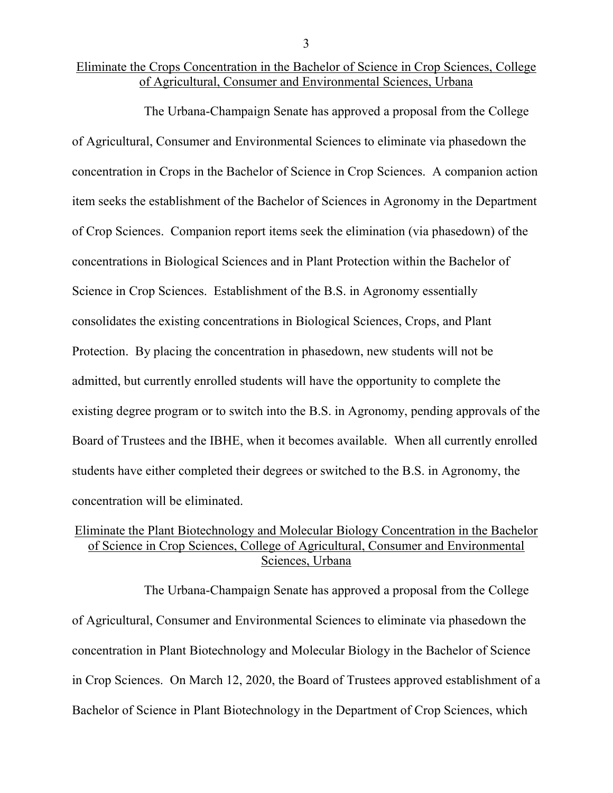# Eliminate the Crops Concentration in the Bachelor of Science in Crop Sciences, College of Agricultural, Consumer and Environmental Sciences, Urbana

The Urbana-Champaign Senate has approved a proposal from the College of Agricultural, Consumer and Environmental Sciences to eliminate via phasedown the concentration in Crops in the Bachelor of Science in Crop Sciences. A companion action item seeks the establishment of the Bachelor of Sciences in Agronomy in the Department of Crop Sciences. Companion report items seek the elimination (via phasedown) of the concentrations in Biological Sciences and in Plant Protection within the Bachelor of Science in Crop Sciences. Establishment of the B.S. in Agronomy essentially consolidates the existing concentrations in Biological Sciences, Crops, and Plant Protection. By placing the concentration in phasedown, new students will not be admitted, but currently enrolled students will have the opportunity to complete the existing degree program or to switch into the B.S. in Agronomy, pending approvals of the Board of Trustees and the IBHE, when it becomes available. When all currently enrolled students have either completed their degrees or switched to the B.S. in Agronomy, the concentration will be eliminated.

# Eliminate the Plant Biotechnology and Molecular Biology Concentration in the Bachelor of Science in Crop Sciences, College of Agricultural, Consumer and Environmental Sciences, Urbana

The Urbana-Champaign Senate has approved a proposal from the College of Agricultural, Consumer and Environmental Sciences to eliminate via phasedown the concentration in Plant Biotechnology and Molecular Biology in the Bachelor of Science in Crop Sciences. On March 12, 2020, the Board of Trustees approved establishment of a Bachelor of Science in Plant Biotechnology in the Department of Crop Sciences, which

3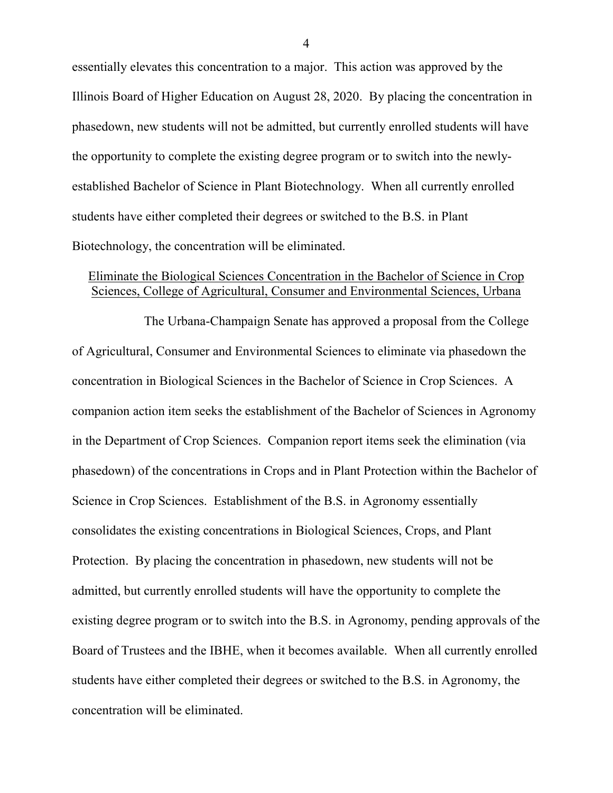essentially elevates this concentration to a major. This action was approved by the Illinois Board of Higher Education on August 28, 2020. By placing the concentration in phasedown, new students will not be admitted, but currently enrolled students will have the opportunity to complete the existing degree program or to switch into the newlyestablished Bachelor of Science in Plant Biotechnology. When all currently enrolled students have either completed their degrees or switched to the B.S. in Plant Biotechnology, the concentration will be eliminated.

# Eliminate the Biological Sciences Concentration in the Bachelor of Science in Crop Sciences, College of Agricultural, Consumer and Environmental Sciences, Urbana

The Urbana-Champaign Senate has approved a proposal from the College of Agricultural, Consumer and Environmental Sciences to eliminate via phasedown the concentration in Biological Sciences in the Bachelor of Science in Crop Sciences. A companion action item seeks the establishment of the Bachelor of Sciences in Agronomy in the Department of Crop Sciences. Companion report items seek the elimination (via phasedown) of the concentrations in Crops and in Plant Protection within the Bachelor of Science in Crop Sciences. Establishment of the B.S. in Agronomy essentially consolidates the existing concentrations in Biological Sciences, Crops, and Plant Protection. By placing the concentration in phasedown, new students will not be admitted, but currently enrolled students will have the opportunity to complete the existing degree program or to switch into the B.S. in Agronomy, pending approvals of the Board of Trustees and the IBHE, when it becomes available. When all currently enrolled students have either completed their degrees or switched to the B.S. in Agronomy, the concentration will be eliminated.

4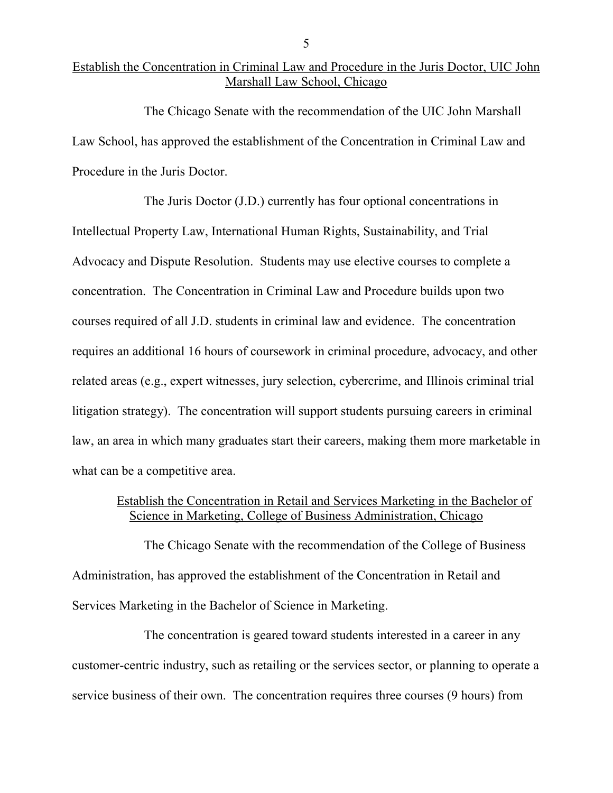## Establish the Concentration in Criminal Law and Procedure in the Juris Doctor, UIC John Marshall Law School, Chicago

The Chicago Senate with the recommendation of the UIC John Marshall Law School, has approved the establishment of the Concentration in Criminal Law and Procedure in the Juris Doctor.

The Juris Doctor (J.D.) currently has four optional concentrations in Intellectual Property Law, International Human Rights, Sustainability, and Trial Advocacy and Dispute Resolution. Students may use elective courses to complete a concentration. The Concentration in Criminal Law and Procedure builds upon two courses required of all J.D. students in criminal law and evidence. The concentration requires an additional 16 hours of coursework in criminal procedure, advocacy, and other related areas (e.g., expert witnesses, jury selection, cybercrime, and Illinois criminal trial litigation strategy). The concentration will support students pursuing careers in criminal law, an area in which many graduates start their careers, making them more marketable in what can be a competitive area.

#### Establish the Concentration in Retail and Services Marketing in the Bachelor of Science in Marketing, College of Business Administration, Chicago

The Chicago Senate with the recommendation of the College of Business Administration, has approved the establishment of the Concentration in Retail and Services Marketing in the Bachelor of Science in Marketing.

The concentration is geared toward students interested in a career in any customer-centric industry, such as retailing or the services sector, or planning to operate a service business of their own. The concentration requires three courses (9 hours) from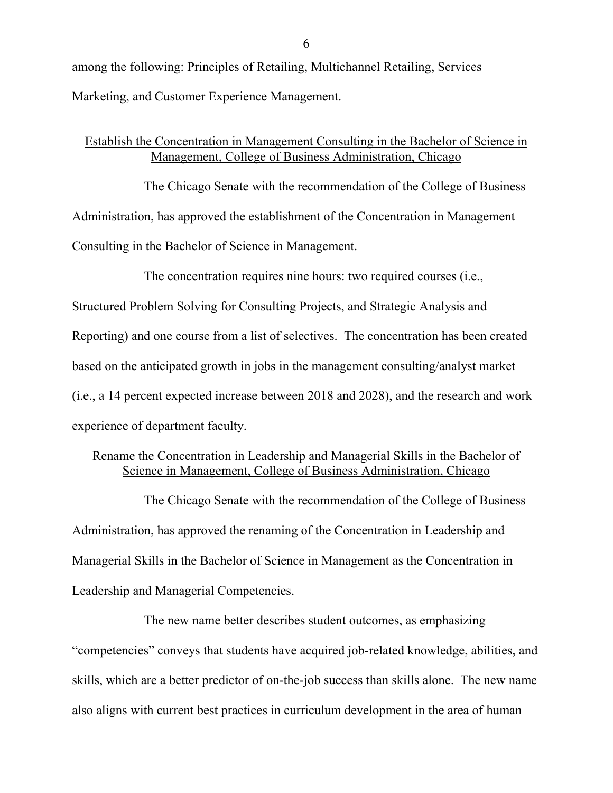among the following: Principles of Retailing, Multichannel Retailing, Services Marketing, and Customer Experience Management.

### Establish the Concentration in Management Consulting in the Bachelor of Science in Management, College of Business Administration, Chicago

The Chicago Senate with the recommendation of the College of Business Administration, has approved the establishment of the Concentration in Management Consulting in the Bachelor of Science in Management.

The concentration requires nine hours: two required courses (i.e.,

Structured Problem Solving for Consulting Projects, and Strategic Analysis and Reporting) and one course from a list of selectives. The concentration has been created based on the anticipated growth in jobs in the management consulting/analyst market (i.e., a 14 percent expected increase between 2018 and 2028), and the research and work experience of department faculty.

# Rename the Concentration in Leadership and Managerial Skills in the Bachelor of Science in Management, College of Business Administration, Chicago

The Chicago Senate with the recommendation of the College of Business Administration, has approved the renaming of the Concentration in Leadership and Managerial Skills in the Bachelor of Science in Management as the Concentration in Leadership and Managerial Competencies.

The new name better describes student outcomes, as emphasizing "competencies" conveys that students have acquired job-related knowledge, abilities, and skills, which are a better predictor of on-the-job success than skills alone. The new name also aligns with current best practices in curriculum development in the area of human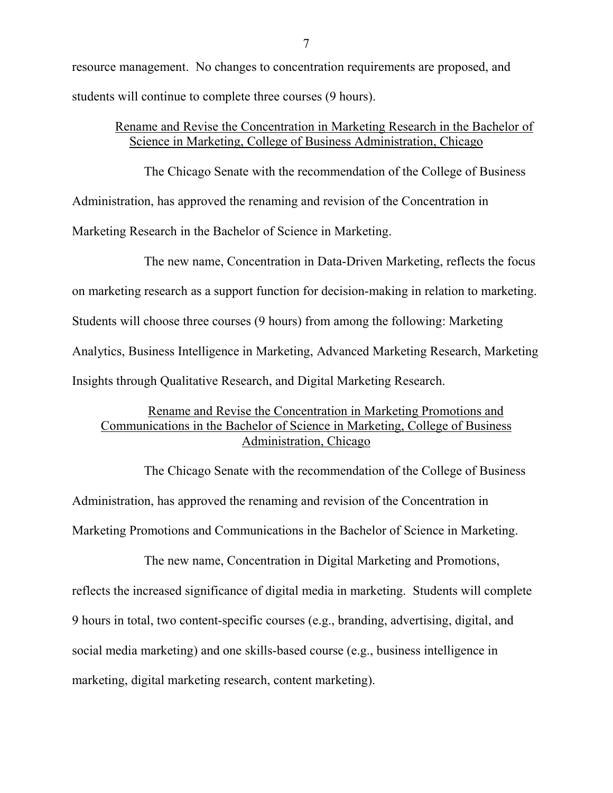resource management. No changes to concentration requirements are proposed, and students will continue to complete three courses (9 hours).

#### Rename and Revise the Concentration in Marketing Research in the Bachelor of Science in Marketing, College of Business Administration, Chicago

The Chicago Senate with the recommendation of the College of Business Administration, has approved the renaming and revision of the Concentration in Marketing Research in the Bachelor of Science in Marketing.

The new name, Concentration in Data-Driven Marketing, reflects the focus on marketing research as a support function for decision-making in relation to marketing. Students will choose three courses (9 hours) from among the following: Marketing Analytics, Business Intelligence in Marketing, Advanced Marketing Research, Marketing Insights through Qualitative Research, and Digital Marketing Research.

# Rename and Revise the Concentration in Marketing Promotions and Communications in the Bachelor of Science in Marketing, College of Business Administration, Chicago

The Chicago Senate with the recommendation of the College of Business Administration, has approved the renaming and revision of the Concentration in Marketing Promotions and Communications in the Bachelor of Science in Marketing.

The new name, Concentration in Digital Marketing and Promotions, reflects the increased significance of digital media in marketing. Students will complete 9 hours in total, two content-specific courses (e.g., branding, advertising, digital, and social media marketing) and one skills-based course (e.g., business intelligence in marketing, digital marketing research, content marketing).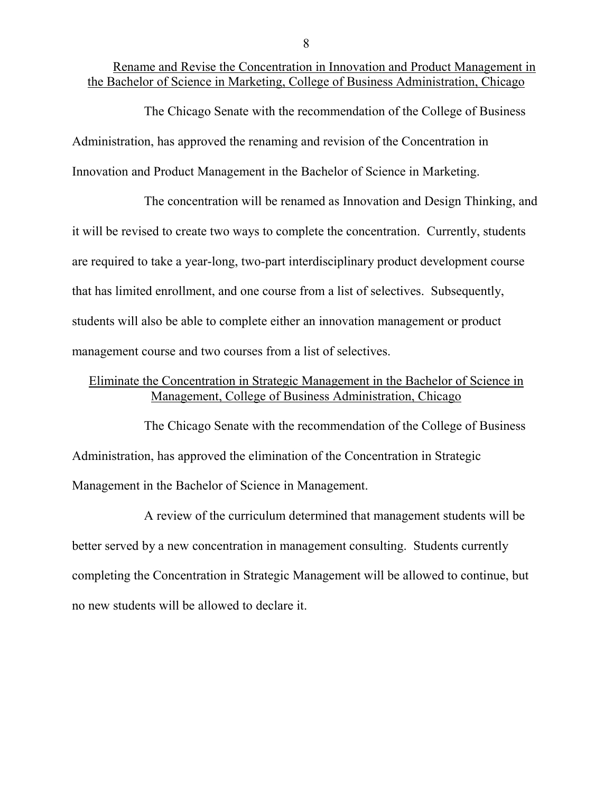Rename and Revise the Concentration in Innovation and Product Management in the Bachelor of Science in Marketing, College of Business Administration, Chicago

The Chicago Senate with the recommendation of the College of Business Administration, has approved the renaming and revision of the Concentration in Innovation and Product Management in the Bachelor of Science in Marketing.

The concentration will be renamed as Innovation and Design Thinking, and it will be revised to create two ways to complete the concentration. Currently, students are required to take a year-long, two-part interdisciplinary product development course that has limited enrollment, and one course from a list of selectives. Subsequently, students will also be able to complete either an innovation management or product management course and two courses from a list of selectives.

### Eliminate the Concentration in Strategic Management in the Bachelor of Science in Management, College of Business Administration, Chicago

The Chicago Senate with the recommendation of the College of Business Administration, has approved the elimination of the Concentration in Strategic Management in the Bachelor of Science in Management.

A review of the curriculum determined that management students will be better served by a new concentration in management consulting. Students currently completing the Concentration in Strategic Management will be allowed to continue, but no new students will be allowed to declare it.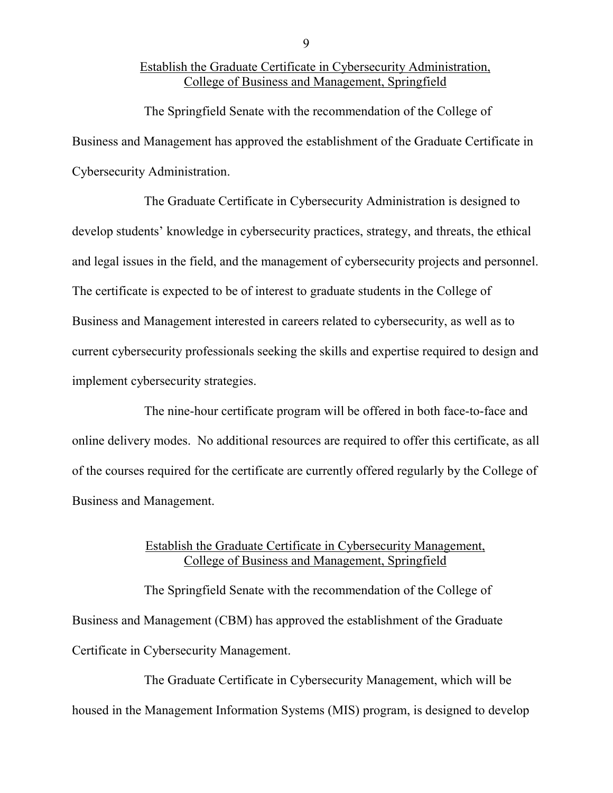## Establish the Graduate Certificate in Cybersecurity Administration, College of Business and Management, Springfield

The Springfield Senate with the recommendation of the College of Business and Management has approved the establishment of the Graduate Certificate in Cybersecurity Administration.

The Graduate Certificate in Cybersecurity Administration is designed to develop students' knowledge in cybersecurity practices, strategy, and threats, the ethical and legal issues in the field, and the management of cybersecurity projects and personnel. The certificate is expected to be of interest to graduate students in the College of Business and Management interested in careers related to cybersecurity, as well as to current cybersecurity professionals seeking the skills and expertise required to design and implement cybersecurity strategies.

The nine-hour certificate program will be offered in both face-to-face and online delivery modes. No additional resources are required to offer this certificate, as all of the courses required for the certificate are currently offered regularly by the College of Business and Management.

### Establish the Graduate Certificate in Cybersecurity Management, College of Business and Management, Springfield

The Springfield Senate with the recommendation of the College of Business and Management (CBM) has approved the establishment of the Graduate Certificate in Cybersecurity Management.

The Graduate Certificate in Cybersecurity Management, which will be housed in the Management Information Systems (MIS) program, is designed to develop